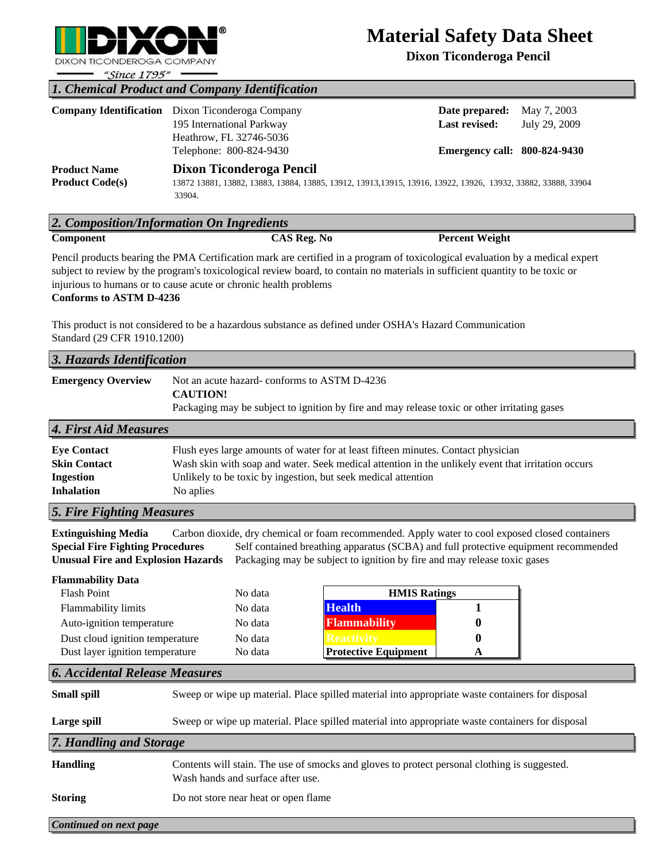

# **Material Safety Data Sheet**

**Dixon Ticonderoga Pencil** 

| "Since $1795"$ —                               |                                                                                                                                                     |                                                                               |                              |  |  |  |  |
|------------------------------------------------|-----------------------------------------------------------------------------------------------------------------------------------------------------|-------------------------------------------------------------------------------|------------------------------|--|--|--|--|
| 1. Chemical Product and Company Identification |                                                                                                                                                     |                                                                               |                              |  |  |  |  |
|                                                | <b>Company Identification</b> Dixon Ticonderoga Company<br>195 International Parkway<br>Heathrow, FL 32746-5036<br>Telephone: 800-824-9430          | Date prepared:<br><b>Last revised:</b><br><b>Emergency call: 800-824-9430</b> | May 7, 2003<br>July 29, 2009 |  |  |  |  |
| <b>Product Name</b><br><b>Product Code(s)</b>  | Dixon Ticonderoga Pencil<br>13872 13881, 13882, 13883, 13884, 13885, 13912, 13913, 13915, 13916, 13922, 13926, 13932, 33882, 33888, 33904<br>33904. |                                                                               |                              |  |  |  |  |
| 2. Composition/Information On Ingredients      |                                                                                                                                                     |                                                                               |                              |  |  |  |  |
| Component                                      | $\overline{\text{CAS R}}$ eg. No                                                                                                                    | <b>Percent Weight</b>                                                         |                              |  |  |  |  |

Pencil products bearing the PMA Certification mark are certified in a program of toxicological evaluation by a medical expert subject to review by the program's toxicological review board, to contain no materials in sufficient quantity to be toxic or injurious to humans or to cause acute or chronic health problems **Conforms to ASTM D-4236**

This product is not considered to be a hazardous substance as defined under OSHA's Hazard Communication Standard (29 CFR 1910.1200)

| 3. Hazards Identification                                                                                                                                                                                                                                                                                                                                                                |                                                                                                                                                                                                                                                                       |  |  |  |  |
|------------------------------------------------------------------------------------------------------------------------------------------------------------------------------------------------------------------------------------------------------------------------------------------------------------------------------------------------------------------------------------------|-----------------------------------------------------------------------------------------------------------------------------------------------------------------------------------------------------------------------------------------------------------------------|--|--|--|--|
| <b>Emergency Overview</b>                                                                                                                                                                                                                                                                                                                                                                | Not an acute hazard-conforms to ASTM D-4236<br><b>CAUTION!</b><br>Packaging may be subject to ignition by fire and may release toxic or other irritating gases                                                                                                        |  |  |  |  |
| 4. First Aid Measures                                                                                                                                                                                                                                                                                                                                                                    |                                                                                                                                                                                                                                                                       |  |  |  |  |
| <b>Eye Contact</b><br><b>Skin Contact</b><br><b>Ingestion</b><br><b>Inhalation</b>                                                                                                                                                                                                                                                                                                       | Flush eyes large amounts of water for at least fifteen minutes. Contact physician<br>Wash skin with soap and water. Seek medical attention in the unlikely event that irritation occurs<br>Unlikely to be toxic by ingestion, but seek medical attention<br>No aplies |  |  |  |  |
| 5. Fire Fighting Measures                                                                                                                                                                                                                                                                                                                                                                |                                                                                                                                                                                                                                                                       |  |  |  |  |
| <b>Extinguishing Media</b><br>Carbon dioxide, dry chemical or foam recommended. Apply water to cool exposed closed containers<br><b>Special Fire Fighting Procedures</b><br>Self contained breathing apparatus (SCBA) and full protective equipment recommended<br><b>Unusual Fire and Explosion Hazards</b><br>Packaging may be subject to ignition by fire and may release toxic gases |                                                                                                                                                                                                                                                                       |  |  |  |  |
| <b>Flammability Data</b><br><b>Flash Point</b><br>Flammability limits<br>Auto-ignition temperature<br>Dust cloud ignition temperature<br>Dust layer ignition temperature                                                                                                                                                                                                                 | <b>HMIS Ratings</b><br>No data<br><b>Health</b><br>1<br>No data<br><b>Flammability</b><br>No data<br>No data<br>o<br><b>Protective Equipment</b><br>No data<br>A                                                                                                      |  |  |  |  |
| <b>6. Accidental Release Measures</b>                                                                                                                                                                                                                                                                                                                                                    |                                                                                                                                                                                                                                                                       |  |  |  |  |
| <b>Small spill</b>                                                                                                                                                                                                                                                                                                                                                                       | Sweep or wipe up material. Place spilled material into appropriate waste containers for disposal                                                                                                                                                                      |  |  |  |  |
|                                                                                                                                                                                                                                                                                                                                                                                          | Large spill<br>Sweep or wipe up material. Place spilled material into appropriate waste containers for disposal                                                                                                                                                       |  |  |  |  |
| 7. Handling and Storage                                                                                                                                                                                                                                                                                                                                                                  |                                                                                                                                                                                                                                                                       |  |  |  |  |
| <b>Handling</b>                                                                                                                                                                                                                                                                                                                                                                          | Contents will stain. The use of smocks and gloves to protect personal clothing is suggested.<br>Wash hands and surface after use.                                                                                                                                     |  |  |  |  |
| <b>Storing</b>                                                                                                                                                                                                                                                                                                                                                                           | Do not store near heat or open flame                                                                                                                                                                                                                                  |  |  |  |  |
| Continued on next page                                                                                                                                                                                                                                                                                                                                                                   |                                                                                                                                                                                                                                                                       |  |  |  |  |